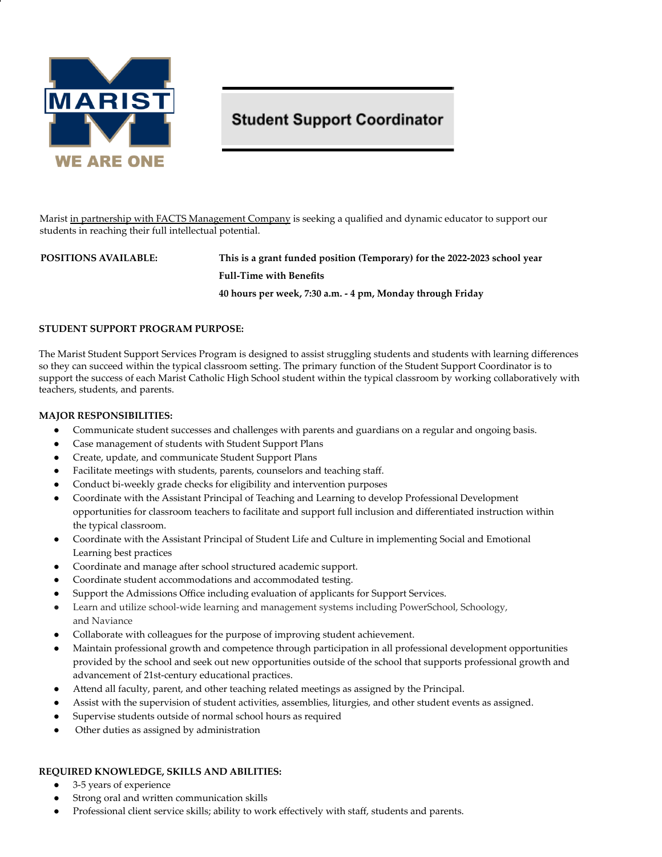

# **Student Support Coordinator**

Marist in partnership with FACTS Management Company is seeking a qualified and dynamic educator to support our students in reaching their full intellectual potential.

# **POSITIONS AVAILABLE: This is a grant funded position (Temporary) for the 2022-2023 school year Full-Time with Benefits 40 hours per week, 7:30 a.m. - 4 pm, Monday through Friday**

#### **STUDENT SUPPORT PROGRAM PURPOSE:**

The Marist Student Support Services Program is designed to assist struggling students and students with learning differences so they can succeed within the typical classroom setting. The primary function of the Student Support Coordinator is to support the success of each Marist Catholic High School student within the typical classroom by working collaboratively with teachers, students, and parents.

#### **MAJOR RESPONSIBILITIES:**

- Communicate student successes and challenges with parents and guardians on a regular and ongoing basis.
- Case management of students with Student Support Plans
- Create, update, and communicate Student Support Plans
- Facilitate meetings with students, parents, counselors and teaching staff.
- Conduct bi-weekly grade checks for eligibility and intervention purposes
- Coordinate with the Assistant Principal of Teaching and Learning to develop Professional Development opportunities for classroom teachers to facilitate and support full inclusion and differentiated instruction within the typical classroom.
- Coordinate with the Assistant Principal of Student Life and Culture in implementing Social and Emotional Learning best practices
- Coordinate and manage after school structured academic support.
- Coordinate student accommodations and accommodated testing.
- Support the Admissions Office including evaluation of applicants for Support Services.
- Learn and utilize school-wide learning and management systems including PowerSchool, Schoology, and Naviance
- Collaborate with colleagues for the purpose of improving student achievement.
- Maintain professional growth and competence through participation in all professional development opportunities provided by the school and seek out new opportunities outside of the school that supports professional growth and advancement of 21st-century educational practices.
- Attend all faculty, parent, and other teaching related meetings as assigned by the Principal.
- Assist with the supervision of student activities, assemblies, liturgies, and other student events as assigned.
- Supervise students outside of normal school hours as required
- Other duties as assigned by administration

#### **REQUIRED KNOWLEDGE, SKILLS AND ABILITIES:**

- 3-5 years of experience
- Strong oral and written communication skills
- Professional client service skills; ability to work effectively with staff, students and parents.